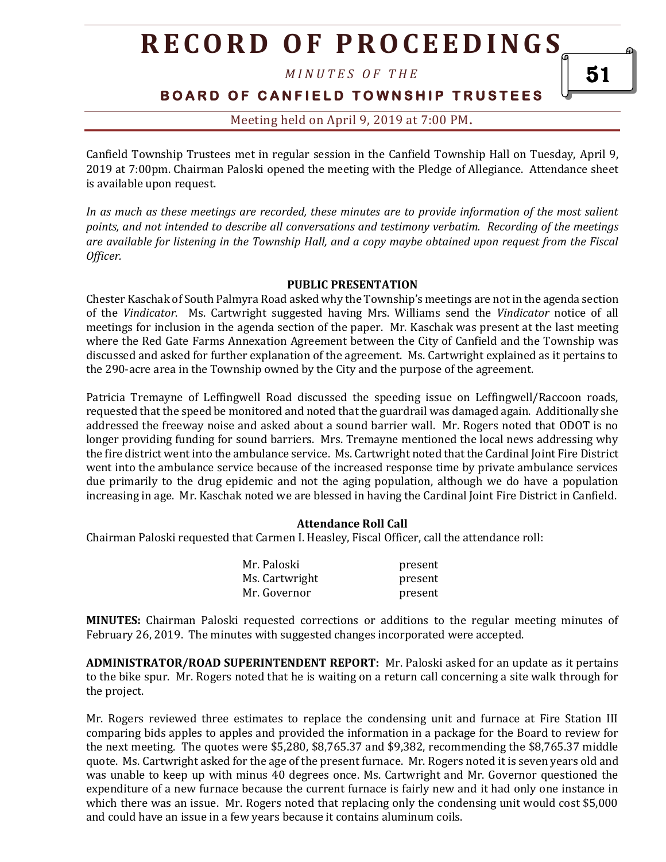*M I N U T E S O F T H E* 

**B O A R D O F C A N F I E L D T O W N S H I P T R U S T E E S** 

### Meeting held on April 9, 2019 at 7:00 PM**.**

Canfield Township Trustees met in regular session in the Canfield Township Hall on Tuesday, April 9, 2019 at 7:00pm. Chairman Paloski opened the meeting with the Pledge of Allegiance. Attendance sheet is available upon request.

*In as much as these meetings are recorded, these minutes are to provide information of the most salient points, and not intended to describe all conversations and testimony verbatim. Recording of the meetings are available for listening in the Township Hall, and a copy maybe obtained upon request from the Fiscal Officer.* 

#### **PUBLIC PRESENTATION**

Chester Kaschak of South Palmyra Road asked why the Township's meetings are not in the agenda section of the *Vindicator*. Ms. Cartwright suggested having Mrs. Williams send the *Vindicator* notice of all meetings for inclusion in the agenda section of the paper. Mr. Kaschak was present at the last meeting where the Red Gate Farms Annexation Agreement between the City of Canfield and the Township was discussed and asked for further explanation of the agreement. Ms. Cartwright explained as it pertains to the 290-acre area in the Township owned by the City and the purpose of the agreement.

Patricia Tremayne of Leffingwell Road discussed the speeding issue on Leffingwell/Raccoon roads, requested that the speed be monitored and noted that the guardrail was damaged again. Additionally she addressed the freeway noise and asked about a sound barrier wall. Mr. Rogers noted that ODOT is no longer providing funding for sound barriers. Mrs. Tremayne mentioned the local news addressing why the fire district went into the ambulance service. Ms. Cartwright noted that the Cardinal Joint Fire District went into the ambulance service because of the increased response time by private ambulance services due primarily to the drug epidemic and not the aging population, although we do have a population increasing in age. Mr. Kaschak noted we are blessed in having the Cardinal Joint Fire District in Canfield.

#### **Attendance Roll Call**

Chairman Paloski requested that Carmen I. Heasley, Fiscal Officer, call the attendance roll:

| Mr. Paloski    | present |
|----------------|---------|
| Ms. Cartwright | present |
| Mr. Governor   | present |

**MINUTES:** Chairman Paloski requested corrections or additions to the regular meeting minutes of February 26, 2019. The minutes with suggested changes incorporated were accepted.

**ADMINISTRATOR/ROAD SUPERINTENDENT REPORT:** Mr. Paloski asked for an update as it pertains to the bike spur. Mr. Rogers noted that he is waiting on a return call concerning a site walk through for the project.

Mr. Rogers reviewed three estimates to replace the condensing unit and furnace at Fire Station III comparing bids apples to apples and provided the information in a package for the Board to review for the next meeting. The quotes were \$5,280, \$8,765.37 and \$9,382, recommending the \$8,765.37 middle quote. Ms. Cartwright asked for the age of the present furnace. Mr. Rogers noted it is seven years old and was unable to keep up with minus 40 degrees once. Ms. Cartwright and Mr. Governor questioned the expenditure of a new furnace because the current furnace is fairly new and it had only one instance in which there was an issue. Mr. Rogers noted that replacing only the condensing unit would cost \$5,000 and could have an issue in a few years because it contains aluminum coils.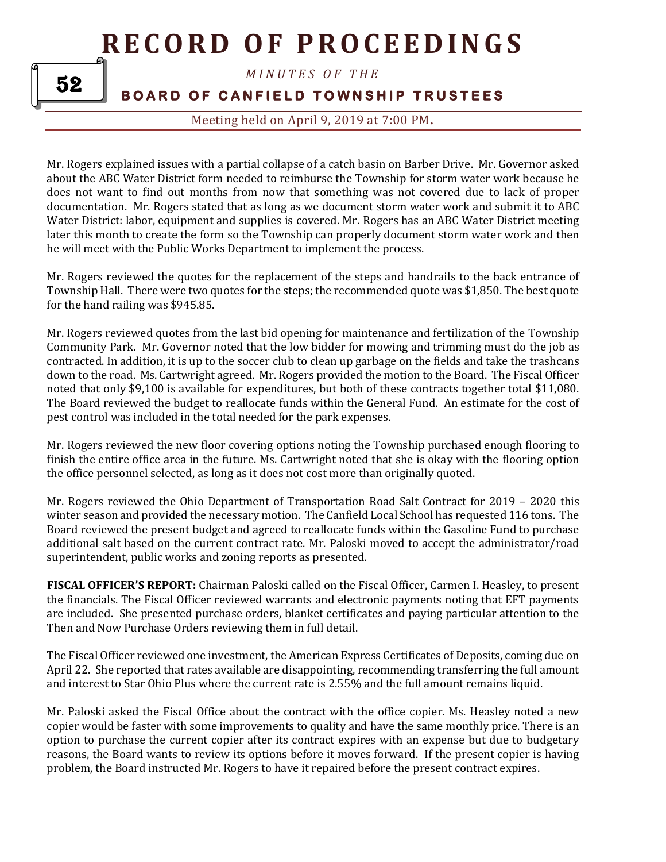*M I N U T E S O F T H E* 

**BOARD OF CANFIELD TOWNSHIP TRUSTEES** 

Meeting held on April 9, 2019 at 7:00 PM**.**

Mr. Rogers explained issues with a partial collapse of a catch basin on Barber Drive. Mr. Governor asked about the ABC Water District form needed to reimburse the Township for storm water work because he does not want to find out months from now that something was not covered due to lack of proper documentation. Mr. Rogers stated that as long as we document storm water work and submit it to ABC Water District: labor, equipment and supplies is covered. Mr. Rogers has an ABC Water District meeting later this month to create the form so the Township can properly document storm water work and then he will meet with the Public Works Department to implement the process.

Mr. Rogers reviewed the quotes for the replacement of the steps and handrails to the back entrance of Township Hall. There were two quotes for the steps; the recommended quote was \$1,850. The best quote for the hand railing was \$945.85.

Mr. Rogers reviewed quotes from the last bid opening for maintenance and fertilization of the Township Community Park. Mr. Governor noted that the low bidder for mowing and trimming must do the job as contracted. In addition, it is up to the soccer club to clean up garbage on the fields and take the trashcans down to the road. Ms. Cartwright agreed. Mr. Rogers provided the motion to the Board. The Fiscal Officer noted that only \$9,100 is available for expenditures, but both of these contracts together total \$11,080. The Board reviewed the budget to reallocate funds within the General Fund. An estimate for the cost of pest control was included in the total needed for the park expenses.

Mr. Rogers reviewed the new floor covering options noting the Township purchased enough flooring to finish the entire office area in the future. Ms. Cartwright noted that she is okay with the flooring option the office personnel selected, as long as it does not cost more than originally quoted.

Mr. Rogers reviewed the Ohio Department of Transportation Road Salt Contract for 2019 – 2020 this winter season and provided the necessary motion. The Canfield Local School has requested 116 tons. The Board reviewed the present budget and agreed to reallocate funds within the Gasoline Fund to purchase additional salt based on the current contract rate. Mr. Paloski moved to accept the administrator/road superintendent, public works and zoning reports as presented.

**FISCAL OFFICER'S REPORT:** Chairman Paloski called on the Fiscal Officer, Carmen I. Heasley, to present the financials. The Fiscal Officer reviewed warrants and electronic payments noting that EFT payments are included. She presented purchase orders, blanket certificates and paying particular attention to the Then and Now Purchase Orders reviewing them in full detail.

The Fiscal Officer reviewed one investment, the American Express Certificates of Deposits, coming due on April 22. She reported that rates available are disappointing, recommending transferring the full amount and interest to Star Ohio Plus where the current rate is 2.55% and the full amount remains liquid.

Mr. Paloski asked the Fiscal Office about the contract with the office copier. Ms. Heasley noted a new copier would be faster with some improvements to quality and have the same monthly price. There is an option to purchase the current copier after its contract expires with an expense but due to budgetary reasons, the Board wants to review its options before it moves forward. If the present copier is having problem, the Board instructed Mr. Rogers to have it repaired before the present contract expires.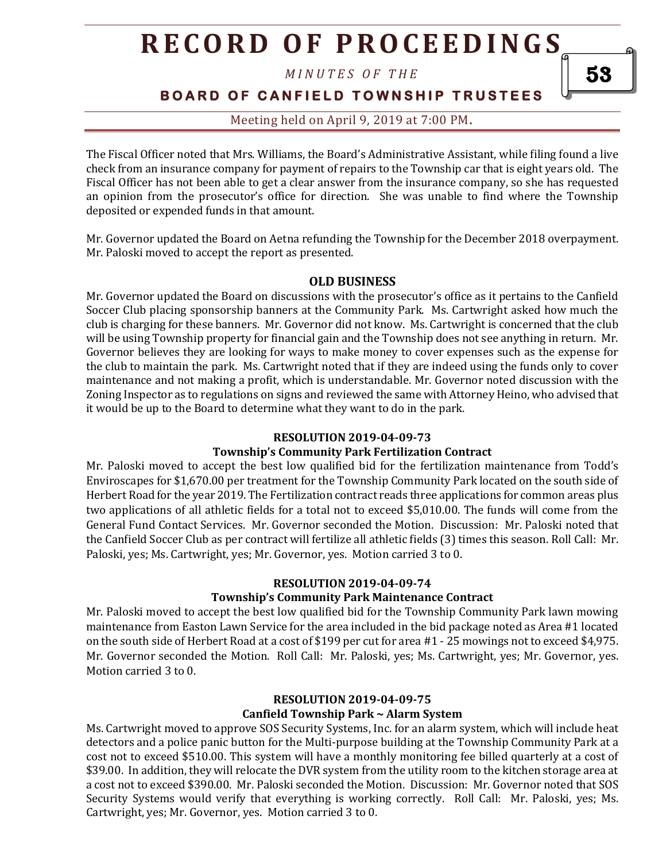*M I N U T E S O F T H E* 

**BOARD OF CANFIELD TOWNSHIP TRUSTEES** 

### Meeting held on April 9, 2019 at 7:00 PM**.**

The Fiscal Officer noted that Mrs. Williams, the Board's Administrative Assistant, while filing found a live check from an insurance company for payment of repairs to the Township car that is eight years old. The Fiscal Officer has not been able to get a clear answer from the insurance company, so she has requested an opinion from the prosecutor's office for direction. She was unable to find where the Township deposited or expended funds in that amount.

Mr. Governor updated the Board on Aetna refunding the Township for the December 2018 overpayment. Mr. Paloski moved to accept the report as presented.

#### **OLD BUSINESS**

Mr. Governor updated the Board on discussions with the prosecutor's office as it pertains to the Canfield Soccer Club placing sponsorship banners at the Community Park. Ms. Cartwright asked how much the club is charging for these banners. Mr. Governor did not know. Ms. Cartwright is concerned that the club will be using Township property for financial gain and the Township does not see anything in return. Mr. Governor believes they are looking for ways to make money to cover expenses such as the expense for the club to maintain the park. Ms. Cartwright noted that if they are indeed using the funds only to cover maintenance and not making a profit, which is understandable. Mr. Governor noted discussion with the Zoning Inspector as to regulations on signs and reviewed the same with Attorney Heino, who advised that it would be up to the Board to determine what they want to do in the park.

#### **RESOLUTION 2019-04-09-73**

#### **Township's Community Park Fertilization Contract**

Mr. Paloski moved to accept the best low qualified bid for the fertilization maintenance from Todd's Enviroscapes for \$1,670.00 per treatment for the Township Community Park located on the south side of Herbert Road for the year 2019. The Fertilization contract reads three applications for common areas plus two applications of all athletic fields for a total not to exceed \$5,010.00. The funds will come from the General Fund Contact Services. Mr. Governor seconded the Motion. Discussion: Mr. Paloski noted that the Canfield Soccer Club as per contract will fertilize all athletic fields (3) times this season. Roll Call: Mr. Paloski, yes; Ms. Cartwright, yes; Mr. Governor, yes. Motion carried 3 to 0.

#### **RESOLUTION 2019-04-09-74 Township's Community Park Maintenance Contract**

Mr. Paloski moved to accept the best low qualified bid for the Township Community Park lawn mowing maintenance from Easton Lawn Service for the area included in the bid package noted as Area #1 located on the south side of Herbert Road at a cost of \$199 per cut for area #1 - 25 mowings not to exceed \$4,975. Mr. Governor seconded the Motion. Roll Call: Mr. Paloski, yes; Ms. Cartwright, yes; Mr. Governor, yes. Motion carried 3 to 0.

#### **RESOLUTION 2019-04-09-75 Canfield Township Park ~ Alarm System**

Ms. Cartwright moved to approve SOS Security Systems, Inc. for an alarm system, which will include heat detectors and a police panic button for the Multi-purpose building at the Township Community Park at a cost not to exceed \$510.00. This system will have a monthly monitoring fee billed quarterly at a cost of \$39.00. In addition, they will relocate the DVR system from the utility room to the kitchen storage area at a cost not to exceed \$390.00. Mr. Paloski seconded the Motion. Discussion: Mr. Governor noted that SOS Security Systems would verify that everything is working correctly. Roll Call: Mr. Paloski, yes; Ms. Cartwright, yes; Mr. Governor, yes. Motion carried 3 to 0.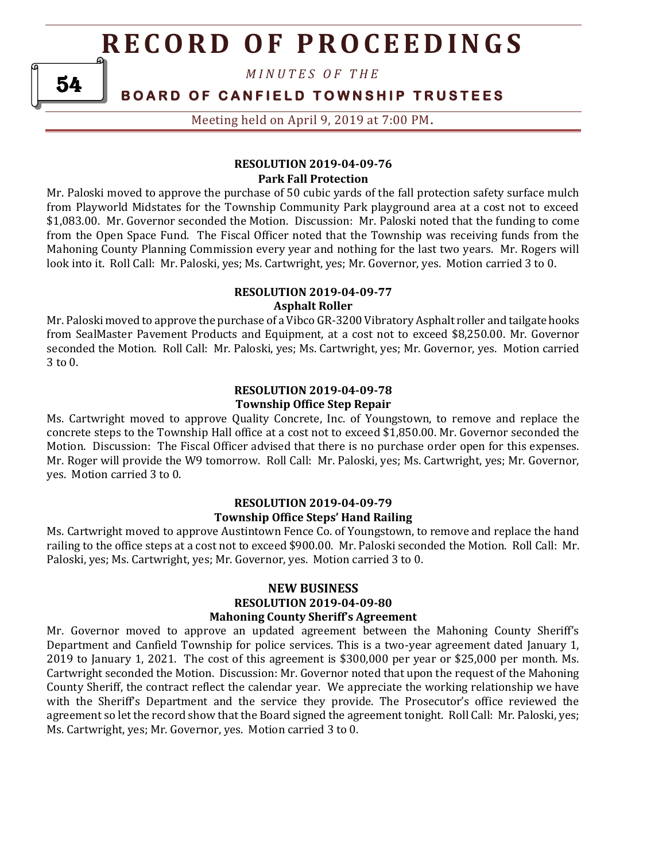*M I N U T E S O F T H E* 

### **BOARD OF CANFIELD TOWNSHIP TRUSTEES**

Meeting held on April 9, 2019 at 7:00 PM**.**

#### **RESOLUTION 2019-04-09-76 Park Fall Protection**

Mr. Paloski moved to approve the purchase of 50 cubic yards of the fall protection safety surface mulch from Playworld Midstates for the Township Community Park playground area at a cost not to exceed \$1,083.00. Mr. Governor seconded the Motion. Discussion: Mr. Paloski noted that the funding to come from the Open Space Fund. The Fiscal Officer noted that the Township was receiving funds from the Mahoning County Planning Commission every year and nothing for the last two years. Mr. Rogers will look into it. Roll Call: Mr. Paloski, yes; Ms. Cartwright, yes; Mr. Governor, yes. Motion carried 3 to 0.

#### **RESOLUTION 2019-04-09-77 Asphalt Roller**

Mr. Paloski moved to approve the purchase of a Vibco GR-3200 Vibratory Asphalt roller and tailgate hooks from SealMaster Pavement Products and Equipment, at a cost not to exceed \$8,250.00. Mr. Governor seconded the Motion. Roll Call: Mr. Paloski, yes; Ms. Cartwright, yes; Mr. Governor, yes. Motion carried 3 to 0.

#### **RESOLUTION 2019-04-09-78 Township Office Step Repair**

Ms. Cartwright moved to approve Quality Concrete, Inc. of Youngstown, to remove and replace the concrete steps to the Township Hall office at a cost not to exceed \$1,850.00. Mr. Governor seconded the Motion. Discussion: The Fiscal Officer advised that there is no purchase order open for this expenses. Mr. Roger will provide the W9 tomorrow. Roll Call: Mr. Paloski, yes; Ms. Cartwright, yes; Mr. Governor, yes. Motion carried 3 to 0.

#### **RESOLUTION 2019-04-09-79 Township Office Steps' Hand Railing**

Ms. Cartwright moved to approve Austintown Fence Co. of Youngstown, to remove and replace the hand railing to the office steps at a cost not to exceed \$900.00. Mr. Paloski seconded the Motion. Roll Call: Mr. Paloski, yes; Ms. Cartwright, yes; Mr. Governor, yes. Motion carried 3 to 0.

#### **NEW BUSINESS RESOLUTION 2019-04-09-80 Mahoning County Sheriff's Agreement**

Mr. Governor moved to approve an updated agreement between the Mahoning County Sheriff's Department and Canfield Township for police services. This is a two-year agreement dated January 1, 2019 to January 1, 2021. The cost of this agreement is \$300,000 per year or \$25,000 per month. Ms. Cartwright seconded the Motion. Discussion: Mr. Governor noted that upon the request of the Mahoning County Sheriff, the contract reflect the calendar year. We appreciate the working relationship we have with the Sheriff's Department and the service they provide. The Prosecutor's office reviewed the agreement so let the record show that the Board signed the agreement tonight. Roll Call: Mr. Paloski, yes; Ms. Cartwright, yes; Mr. Governor, yes. Motion carried 3 to 0.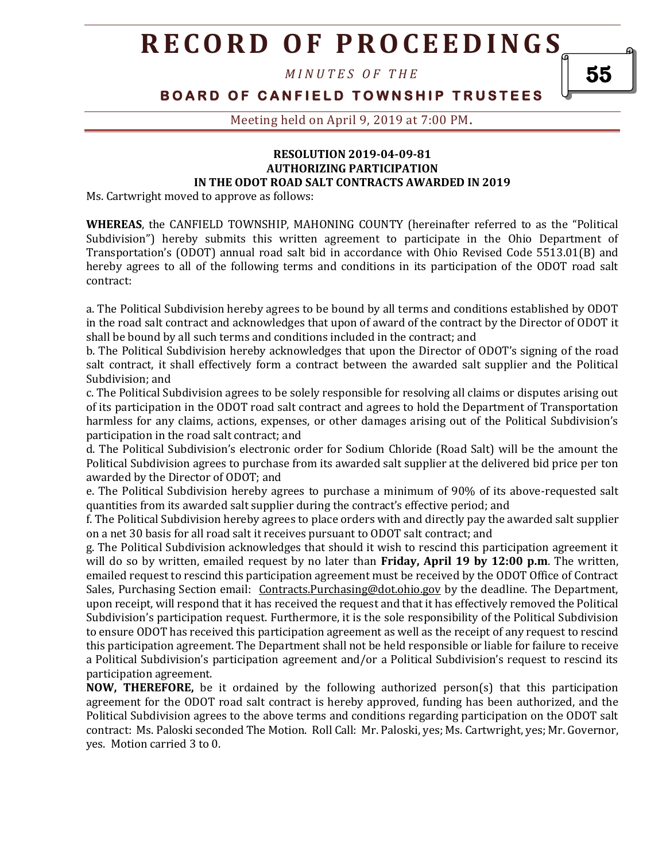*M I N U T E S O F T H E* 

**BOARD OF CANFIELD TOWNSHIP TRUSTEES** 

Meeting held on April 9, 2019 at 7:00 PM**.**

#### **RESOLUTION 2019-04-09-81 AUTHORIZING PARTICIPATION IN THE ODOT ROAD SALT CONTRACTS AWARDED IN 2019**

Ms. Cartwright moved to approve as follows:

**WHEREAS**, the CANFIELD TOWNSHIP, MAHONING COUNTY (hereinafter referred to as the "Political Subdivision") hereby submits this written agreement to participate in the Ohio Department of Transportation's (ODOT) annual road salt bid in accordance with Ohio Revised Code 5513.01(B) and hereby agrees to all of the following terms and conditions in its participation of the ODOT road salt contract:

a. The Political Subdivision hereby agrees to be bound by all terms and conditions established by ODOT in the road salt contract and acknowledges that upon of award of the contract by the Director of ODOT it shall be bound by all such terms and conditions included in the contract; and

b. The Political Subdivision hereby acknowledges that upon the Director of ODOT's signing of the road salt contract, it shall effectively form a contract between the awarded salt supplier and the Political Subdivision; and

c. The Political Subdivision agrees to be solely responsible for resolving all claims or disputes arising out of its participation in the ODOT road salt contract and agrees to hold the Department of Transportation harmless for any claims, actions, expenses, or other damages arising out of the Political Subdivision's participation in the road salt contract; and

d. The Political Subdivision's electronic order for Sodium Chloride (Road Salt) will be the amount the Political Subdivision agrees to purchase from its awarded salt supplier at the delivered bid price per ton awarded by the Director of ODOT; and

e. The Political Subdivision hereby agrees to purchase a minimum of 90% of its above-requested salt quantities from its awarded salt supplier during the contract's effective period; and

f. The Political Subdivision hereby agrees to place orders with and directly pay the awarded salt supplier on a net 30 basis for all road salt it receives pursuant to ODOT salt contract; and

g. The Political Subdivision acknowledges that should it wish to rescind this participation agreement it will do so by written, emailed request by no later than **Friday, April 19 by 12:00 p.m**. The written, emailed request to rescind this participation agreement must be received by the ODOT Office of Contract Sales, Purchasing Section email: Contracts.Purchasing@dot.ohio.gov by the deadline. The Department, upon receipt, will respond that it has received the request and that it has effectively removed the Political Subdivision's participation request. Furthermore, it is the sole responsibility of the Political Subdivision to ensure ODOT has received this participation agreement as well as the receipt of any request to rescind this participation agreement. The Department shall not be held responsible or liable for failure to receive a Political Subdivision's participation agreement and/or a Political Subdivision's request to rescind its participation agreement.

**NOW, THEREFORE,** be it ordained by the following authorized person(s) that this participation agreement for the ODOT road salt contract is hereby approved, funding has been authorized, and the Political Subdivision agrees to the above terms and conditions regarding participation on the ODOT salt contract: Ms. Paloski seconded The Motion. Roll Call: Mr. Paloski, yes; Ms. Cartwright, yes; Mr. Governor, yes. Motion carried 3 to 0.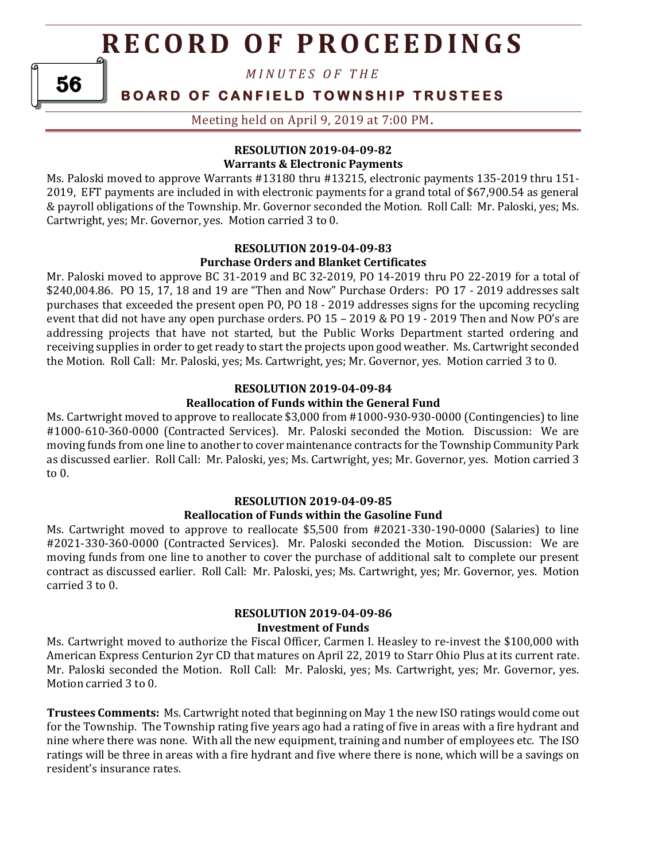*M I N U T E S O F T H E* 

### **BOARD OF CANFIELD TOWNSHIP TRUSTEES**

Meeting held on April 9, 2019 at 7:00 PM**.**

### **RESOLUTION 2019-04-09-82 Warrants & Electronic Payments**

Ms. Paloski moved to approve Warrants #13180 thru #13215, electronic payments 135-2019 thru 151- 2019, EFT payments are included in with electronic payments for a grand total of \$67,900.54 as general & payroll obligations of the Township. Mr. Governor seconded the Motion. Roll Call: Mr. Paloski, yes; Ms. Cartwright, yes; Mr. Governor, yes. Motion carried 3 to 0.

#### **RESOLUTION 2019-04-09-83**

#### **Purchase Orders and Blanket Certificates**

Mr. Paloski moved to approve BC 31-2019 and BC 32-2019, PO 14-2019 thru PO 22-2019 for a total of \$240,004.86. PO 15, 17, 18 and 19 are "Then and Now" Purchase Orders: PO 17 - 2019 addresses salt purchases that exceeded the present open PO, PO 18 - 2019 addresses signs for the upcoming recycling event that did not have any open purchase orders. PO 15 – 2019 & PO 19 - 2019 Then and Now PO's are addressing projects that have not started, but the Public Works Department started ordering and receiving supplies in order to get ready to start the projects upon good weather. Ms. Cartwright seconded the Motion. Roll Call: Mr. Paloski, yes; Ms. Cartwright, yes; Mr. Governor, yes. Motion carried 3 to 0.

#### **RESOLUTION 2019-04-09-84**

#### **Reallocation of Funds within the General Fund**

Ms. Cartwright moved to approve to reallocate \$3,000 from #1000-930-930-0000 (Contingencies) to line #1000-610-360-0000 (Contracted Services). Mr. Paloski seconded the Motion. Discussion: We are moving funds from one line to another to cover maintenance contracts for the Township Community Park as discussed earlier. Roll Call: Mr. Paloski, yes; Ms. Cartwright, yes; Mr. Governor, yes. Motion carried 3 to 0.

#### **RESOLUTION 2019-04-09-85 Reallocation of Funds within the Gasoline Fund**

Ms. Cartwright moved to approve to reallocate \$5,500 from #2021-330-190-0000 (Salaries) to line #2021-330-360-0000 (Contracted Services). Mr. Paloski seconded the Motion. Discussion: We are moving funds from one line to another to cover the purchase of additional salt to complete our present contract as discussed earlier. Roll Call: Mr. Paloski, yes; Ms. Cartwright, yes; Mr. Governor, yes. Motion carried 3 to 0.

#### **RESOLUTION 2019-04-09-86 Investment of Funds**

Ms. Cartwright moved to authorize the Fiscal Officer, Carmen I. Heasley to re-invest the \$100,000 with American Express Centurion 2yr CD that matures on April 22, 2019 to Starr Ohio Plus at its current rate. Mr. Paloski seconded the Motion. Roll Call: Mr. Paloski, yes; Ms. Cartwright, yes; Mr. Governor, yes. Motion carried 3 to 0.

**Trustees Comments:** Ms. Cartwright noted that beginning on May 1 the new ISO ratings would come out for the Township. The Township rating five years ago had a rating of five in areas with a fire hydrant and nine where there was none. With all the new equipment, training and number of employees etc. The ISO ratings will be three in areas with a fire hydrant and five where there is none, which will be a savings on resident's insurance rates.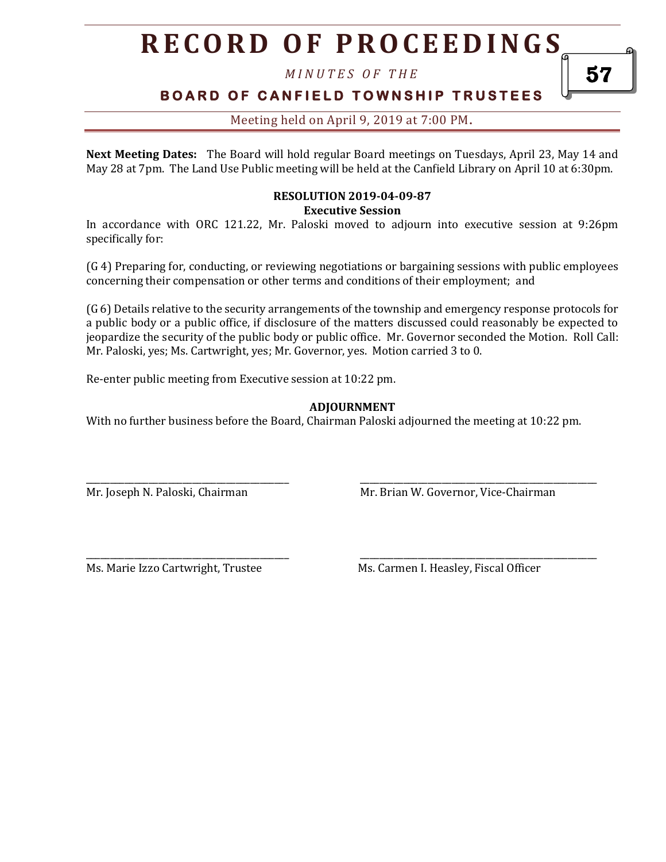*M I N U T E S O F T H E* 

### **BOARD OF CANFIELD TOWNSHIP TRUSTEES**

### Meeting held on April 9, 2019 at 7:00 PM**.**

**Next Meeting Dates:** The Board will hold regular Board meetings on Tuesdays, April 23, May 14 and May 28 at 7pm. The Land Use Public meeting will be held at the Canfield Library on April 10 at 6:30pm.

#### **RESOLUTION 2019-04-09-87 Executive Session**

In accordance with ORC 121.22, Mr. Paloski moved to adjourn into executive session at 9:26pm specifically for:

(G 4) Preparing for, conducting, or reviewing negotiations or bargaining sessions with public employees concerning their compensation or other terms and conditions of their employment; and

(G 6) Details relative to the security arrangements of the township and emergency response protocols for a public body or a public office, if disclosure of the matters discussed could reasonably be expected to jeopardize the security of the public body or public office. Mr. Governor seconded the Motion. Roll Call: Mr. Paloski, yes; Ms. Cartwright, yes; Mr. Governor, yes. Motion carried 3 to 0.

Re-enter public meeting from Executive session at 10:22 pm.

#### **ADJOURNMENT**

With no further business before the Board, Chairman Paloski adjourned the meeting at 10:22 pm.

\_\_\_\_\_\_\_\_\_\_\_\_\_\_\_\_\_\_\_\_\_\_\_\_\_\_\_\_\_\_\_\_\_\_\_\_\_\_\_\_\_\_ \_\_\_\_\_\_\_\_\_\_\_\_\_\_\_\_\_\_\_\_\_\_\_\_\_\_\_\_\_\_\_\_\_\_\_\_\_\_\_\_\_\_\_\_\_\_\_\_\_

\_\_\_\_\_\_\_\_\_\_\_\_\_\_\_\_\_\_\_\_\_\_\_\_\_\_\_\_\_\_\_\_\_\_\_\_\_\_\_\_\_\_ \_\_\_\_\_\_\_\_\_\_\_\_\_\_\_\_\_\_\_\_\_\_\_\_\_\_\_\_\_\_\_\_\_\_\_\_\_\_\_\_\_\_\_\_\_\_\_\_\_

Mr. Joseph N. Paloski, Chairman Museum Mr. Brian W. Governor, Vice-Chairman

Ms. Marie Izzo Cartwright, Trustee Ms. Carmen I. Heasley, Fiscal Officer